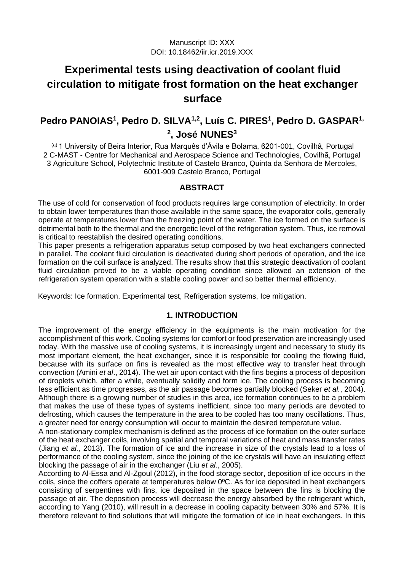# **Experimental tests using deactivation of coolant fluid circulation to mitigate frost formation on the heat exchanger surface**

## **Pedro PANOIAS<sup>1</sup> , Pedro D. SILVA1,2 , Luís C. PIRES<sup>1</sup> , Pedro D. GASPAR1, 2 , José NUNES<sup>3</sup>**

(a) 1 University of Beira Interior, Rua Marquês d'Ávila e Bolama, 6201-001, Covilhã, Portugal 2 C-MAST - Centre for Mechanical and Aerospace Science and Technologies, Covilhã, Portugal 3 Agriculture School, Polytechnic Institute of Castelo Branco, Quinta da Senhora de Mercoles, 6001-909 Castelo Branco, Portugal

## **ABSTRACT**

The use of cold for conservation of food products requires large consumption of electricity. In order to obtain lower temperatures than those available in the same space, the evaporator coils, generally operate at temperatures lower than the freezing point of the water. The ice formed on the surface is detrimental both to the thermal and the energetic level of the refrigeration system. Thus, ice removal is critical to reestablish the desired operating conditions.

This paper presents a refrigeration apparatus setup composed by two heat exchangers connected in parallel. The coolant fluid circulation is deactivated during short periods of operation, and the ice formation on the coil surface is analyzed. The results show that this strategic deactivation of coolant fluid circulation proved to be a viable operating condition since allowed an extension of the refrigeration system operation with a stable cooling power and so better thermal efficiency.

Keywords: Ice formation, Experimental test, Refrigeration systems, Ice mitigation.

## **1. INTRODUCTION**

The improvement of the energy efficiency in the equipments is the main motivation for the accomplishment of this work. Cooling systems for comfort or food preservation are increasingly used today. With the massive use of cooling systems, it is increasingly urgent and necessary to study its most important element, the heat exchanger, since it is responsible for cooling the flowing fluid, because with its surface on fins is revealed as the most effective way to transfer heat through convection (Amini *et al*., 2014). The wet air upon contact with the fins begins a process of deposition of droplets which, after a while, eventually solidify and form ice. The cooling process is becoming less efficient as time progresses, as the air passage becomes partially blocked (Seker *et al.*, 2004). Although there is a growing number of studies in this area, ice formation continues to be a problem that makes the use of these types of systems inefficient, since too many periods are devoted to defrosting, which causes the temperature in the area to be cooled has too many oscillations. Thus, a greater need for energy consumption will occur to maintain the desired temperature value.

A non-stationary complex mechanism is defined as the process of ice formation on the outer surface of the heat exchanger coils, involving spatial and temporal variations of heat and mass transfer rates (Jiang *et al.*, 2013). The formation of ice and the increase in size of the crystals lead to a loss of performance of the cooling system, since the joining of the ice crystals will have an insulating effect blocking the passage of air in the exchanger (Liu *et al.*, 2005).

According to Al-Essa and Al-Zgoul (2012), in the food storage sector, deposition of ice occurs in the coils, since the coffers operate at temperatures below 0ºC. As for ice deposited in heat exchangers consisting of serpentines with fins, ice deposited in the space between the fins is blocking the passage of air. The deposition process will decrease the energy absorbed by the refrigerant which, according to Yang (2010), will result in a decrease in cooling capacity between 30% and 57%. It is therefore relevant to find solutions that will mitigate the formation of ice in heat exchangers. In this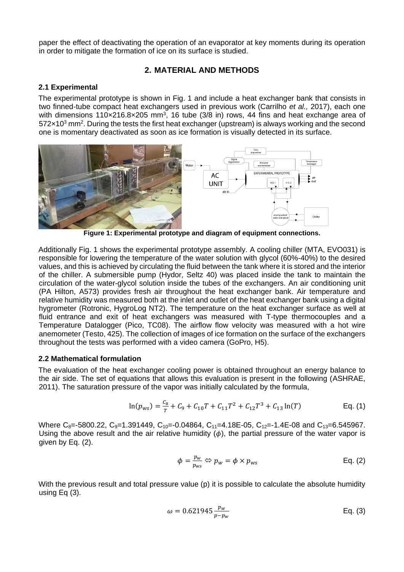paper the effect of deactivating the operation of an evaporator at key moments during its operation in order to mitigate the formation of ice on its surface is studied.

## **2. MATERIAL AND METHODS**

### **2.1 Experimental**

The experimental prototype is shown in Fig. 1 and include a heat exchanger bank that consists in two finned-tube compact heat exchangers used in previous work (Carrilho *et al.,* 2017), each one with dimensions 110 $\times$ 216.8 $\times$ 205 mm<sup>3</sup>, 16 tube (3/8 in) rows, 44 fins and heat exchange area of  $572\times10^3$  mm<sup>2</sup>. During the tests the first heat exchanger (upstream) is always working and the second one is momentary deactivated as soon as ice formation is visually detected in its surface.



**Figure 1: Experimental prototype and diagram of equipment connections.**

Additionally Fig. 1 shows the experimental prototype assembly. A cooling chiller (MTA, EVO031) is responsible for lowering the temperature of the water solution with glycol (60%-40%) to the desired values, and this is achieved by circulating the fluid between the tank where it is stored and the interior of the chiller. A submersible pump (Hydor, Seltz 40) was placed inside the tank to maintain the circulation of the water-glycol solution inside the tubes of the exchangers. An air conditioning unit (PA Hilton, A573) provides fresh air throughout the heat exchanger bank. Air temperature and relative humidity was measured both at the inlet and outlet of the heat exchanger bank using a digital hygrometer (Rotronic, HygroLog NT2). The temperature on the heat exchanger surface as well at fluid entrance and exit of heat exchangers was measured with T-type thermocouples and a Temperature Datalogger (Pico, TC08). The airflow flow velocity was measured with a hot wire anemometer (Testo, 425). The collection of images of ice formation on the surface of the exchangers throughout the tests was performed with a video camera (GoPro, H5).

#### **2.2 Mathematical formulation**

The evaluation of the heat exchanger cooling power is obtained throughout an energy balance to the air side. The set of equations that allows this evaluation is present in the following (ASHRAE, 2011). The saturation pressure of the vapor was initially calculated by the formula,

$$
\ln(p_{ws}) = \frac{c_s}{T} + C_9 + C_{10}T + C_{11}T^2 + C_{12}T^3 + C_{13}\ln(T) \tag{1}
$$

Where C<sub>8</sub>=-5800.22, C<sub>9</sub>=1.391449, C<sub>10</sub>=-0.04864, C<sub>11</sub>=4.18E-05, C<sub>12</sub>=-1.4E-08 and C<sub>13</sub>=6.545967. Using the above result and the air relative humidity  $(\phi)$ , the partial pressure of the water vapor is given by Eq. (2).

$$
\phi = \frac{p_w}{p_{ws}} \Leftrightarrow p_w = \phi \times p_{ws} \qquad \qquad \text{Eq. (2)}
$$

With the previous result and total pressure value (p) it is possible to calculate the absolute humidity using Eq (3).

$$
\omega = 0.621945 \frac{p_w}{p - p_w} \tag{3}
$$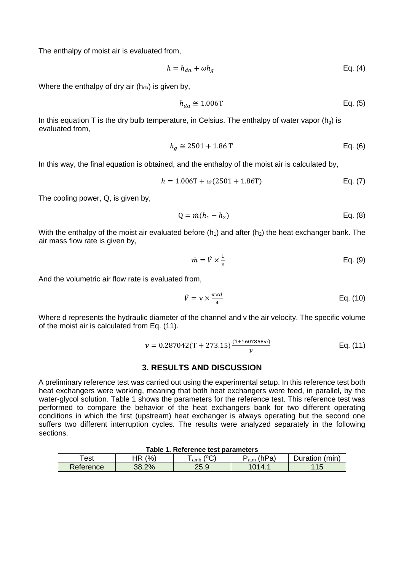The enthalpy of moist air is evaluated from,

$$
h = h_{da} + \omega h_g
$$
 Eq. (4)

Where the enthalpy of dry air  $(h_{da})$  is given by,

$$
h_{da} \cong 1.006 \text{T} \qquad \qquad \text{Eq. (5)}
$$

In this equation T is the dry bulb temperature, in Celsius. The enthalpy of water vapor  $(h<sub>g</sub>)$  is evaluated from,

$$
h_g \cong 2501 + 1.86 \text{ T}
$$
 Eq. (6)

In this way, the final equation is obtained, and the enthalpy of the moist air is calculated by,

$$
h = 1.006T + \omega(2501 + 1.86T)
$$
 Eq. (7)

The cooling power, Q, is given by,

$$
Q = \dot{m}(h_1 - h_2) \tag{8}
$$

With the enthalpy of the moist air evaluated before  $(h_1)$  and after  $(h_2)$  the heat exchanger bank. The air mass flow rate is given by,

$$
\dot{m} = \dot{V} \times \frac{1}{v} \qquad \qquad \text{Eq. (9)}
$$

And the volumetric air flow rate is evaluated from,

$$
\dot{V} = \mathbf{v} \times \frac{\pi \times d}{4} \qquad \qquad \text{Eq. (10)}
$$

Where d represents the hydraulic diameter of the channel and v the air velocity. The specific volume of the moist air is calculated from Eq. (11).

$$
\nu = 0.287042(T + 273.15) \frac{(1 + 1607858\omega)}{p}
$$
 Eq. (11)

#### **3. RESULTS AND DISCUSSION**

A preliminary reference test was carried out using the experimental setup. In this reference test both heat exchangers were working, meaning that both heat exchangers were feed, in parallel, by the water-glycol solution. Table 1 shows the parameters for the reference test. This reference test was performed to compare the behavior of the heat exchangers bank for two different operating conditions in which the first (upstream) heat exchanger is always operating but the second one suffers two different interruption cycles. The results were analyzed separately in the following sections.

| Table 1. Reference test parameters |                     |      |              |                          |  |
|------------------------------------|---------------------|------|--------------|--------------------------|--|
| ⊺est                               | $\frac{6}{6}$<br>HR | amb  | 'hPa,<br>atm | <i>D</i> uration<br>(min |  |
| Reference                          | 38.2%               | 25.9 |              | 11 F                     |  |

## **Table 1. Reference test parameters**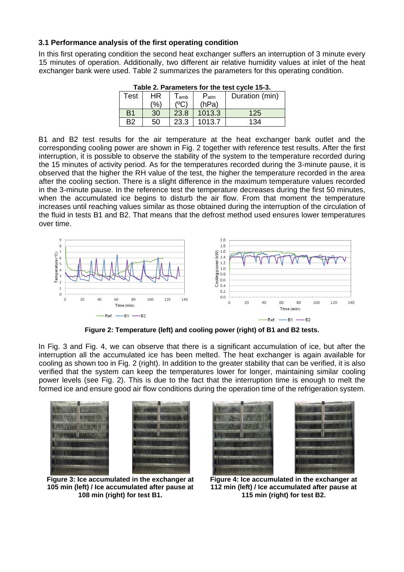#### **3.1 Performance analysis of the first operating condition**

In this first operating condition the second heat exchanger suffers an interruption of 3 minute every 15 minutes of operation. Additionally, two different air relative humidity values at inlet of the heat exchanger bank were used. Table 2 summarizes the parameters for this operating condition.

| Table 2. Parameters for the test cycle 15-3. |     |                             |           |                |  |
|----------------------------------------------|-----|-----------------------------|-----------|----------------|--|
| <b>Test</b>                                  | HR  | $\mathsf{I}_{\mathsf{amb}}$ | $P_{atm}$ | Duration (min) |  |
|                                              | (%) |                             | (hPa)     |                |  |
| B <sub>1</sub>                               | 30  | 23.8                        | 1013.3    | 125            |  |
| B2                                           | 50  | 23.3                        | 1013.7    | 134            |  |
|                                              |     |                             |           |                |  |

| Table 2. Parameters for the test cycle 15-3. |  |  |
|----------------------------------------------|--|--|
|                                              |  |  |

B1 and B2 test results for the air temperature at the heat exchanger bank outlet and the corresponding cooling power are shown in Fig. 2 together with reference test results. After the first interruption, it is possible to observe the stability of the system to the temperature recorded during the 15 minutes of activity period. As for the temperatures recorded during the 3-minute pause, it is observed that the higher the RH value of the test, the higher the temperature recorded in the area after the cooling section. There is a slight difference in the maximum temperature values recorded in the 3-minute pause. In the reference test the temperature decreases during the first 50 minutes, when the accumulated ice begins to disturb the air flow. From that moment the temperature increases until reaching values similar as those obtained during the interruption of the circulation of the fluid in tests B1 and B2. That means that the defrost method used ensures lower temperatures over time.



**Figure 2: Temperature (left) and cooling power (right) of B1 and B2 tests.**

In Fig. 3 and Fig. 4, we can observe that there is a significant accumulation of ice, but after the interruption all the accumulated ice has been melted. The heat exchanger is again available for cooling as shown too in Fig. 2 (right). In addition to the greater stability that can be verified, it is also verified that the system can keep the temperatures lower for longer, maintaining similar cooling power levels (see Fig. 2). This is due to the fact that the interruption time is enough to melt the formed ice and ensure good air flow conditions during the operation time of the refrigeration system.



**Figure 3: Ice accumulated in the exchanger at 105 min (left) / Ice accumulated after pause at 108 min (right) for test B1.**



**Figure 4: Ice accumulated in the exchanger at 112 min (left) / Ice accumulated after pause at 115 min (right) for test B2.**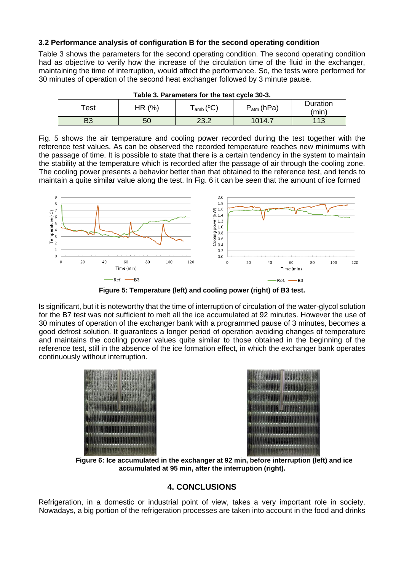### **3.2 Performance analysis of configuration B for the second operating condition**

Table 3 shows the parameters for the second operating condition. The second operating condition had as objective to verify how the increase of the circulation time of the fluid in the exchanger, maintaining the time of interruption, would affect the performance. So, the tests were performed for 30 minutes of operation of the second heat exchanger followed by 3 minute pause.

| Table 3. Parameters for the test cycle 30-3. |          |               |                          |                   |  |  |
|----------------------------------------------|----------|---------------|--------------------------|-------------------|--|--|
| ັest⊹                                        | HR $(%)$ | $_{amb}$ (°C) | $P_{\mathsf{atm}}$ (hPa) | Duration<br>(min) |  |  |
| B3                                           | 50       | 23.2          | 1014.7                   | 113               |  |  |

Fig. 5 shows the air temperature and cooling power recorded during the test together with the reference test values. As can be observed the recorded temperature reaches new minimums with the passage of time. It is possible to state that there is a certain tendency in the system to maintain the stability at the temperature which is recorded after the passage of air through the cooling zone. The cooling power presents a behavior better than that obtained to the reference test, and tends to maintain a quite similar value along the test. In Fig. 6 it can be seen that the amount of ice formed



**Figure 5: Temperature (left) and cooling power (right) of B3 test.**

Is significant, but it is noteworthy that the time of interruption of circulation of the water-glycol solution for the B7 test was not sufficient to melt all the ice accumulated at 92 minutes. However the use of 30 minutes of operation of the exchanger bank with a programmed pause of 3 minutes, becomes a good defrost solution. It guarantees a longer period of operation avoiding changes of temperature and maintains the cooling power values quite similar to those obtained in the beginning of the reference test, still in the absence of the ice formation effect, in which the exchanger bank operates continuously without interruption.





**Figure 6: Ice accumulated in the exchanger at 92 min, before interruption (left) and ice accumulated at 95 min, after the interruption (right).**

## **4. CONCLUSIONS**

Refrigeration, in a domestic or industrial point of view, takes a very important role in society. Nowadays, a big portion of the refrigeration processes are taken into account in the food and drinks